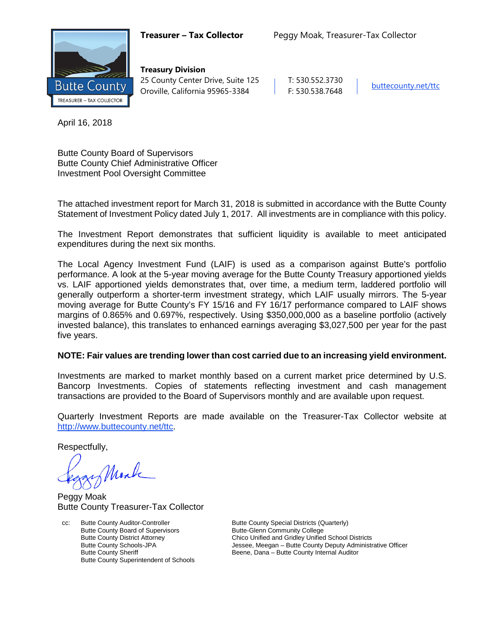

**Treasury Division** 25 County Center Drive, Suite 125 | T: 530.552.3730 Oroville, California 95965-3384 F: 530.538.7648 [buttecounty.net/t](http://www.buttecounty.net/administration)tc

April 16, 2018

Butte County Board of Supervisors Butte County Chief Administrative Officer Investment Pool Oversight Committee

The attached investment report for March 31, 2018 is submitted in accordance with the Butte County Statement of Investment Policy dated July 1, 2017. All investments are in compliance with this policy.

The Investment Report demonstrates that sufficient liquidity is available to meet anticipated expenditures during the next six months.

The Local Agency Investment Fund (LAIF) is used as a comparison against Butte's portfolio performance. A look at the 5-year moving average for the Butte County Treasury apportioned yields vs. LAIF apportioned yields demonstrates that, over time, a medium term, laddered portfolio will generally outperform a shorter-term investment strategy, which LAIF usually mirrors. The 5-year moving average for Butte County's FY 15/16 and FY 16/17 performance compared to LAIF shows margins of 0.865% and 0.697%, respectively. Using \$350,000,000 as a baseline portfolio (actively invested balance), this translates to enhanced earnings averaging \$3,027,500 per year for the past five years.

## **NOTE: Fair values are trending lower than cost carried due to an increasing yield environment.**

Investments are marked to market monthly based on a current market price determined by U.S. Bancorp Investments. Copies of statements reflecting investment and cash management transactions are provided to the Board of Supervisors monthly and are available upon request.

Quarterly Investment Reports are made available on the Treasurer-Tax Collector website at <http://www.buttecounty.net/ttc>.

Respectfully,

Monk

Peggy Moak Butte County Treasurer-Tax Collector

cc: Butte County Auditor-Controller Butte County Special Districts (Quarterly)<br>Butte County Board of Supervisors Butte-Glenn Community College Butte County Board of Supervisors Butte County Superintendent of Schools

Butte County District Attorney **Chico Unified and Gridley Unified School Districts**<br>Butte County Schools-JPA **Chicage Schools** Jessee, Meegan – Butte County Deputy Administr Jessee, Meegan – Butte County Deputy Administrative Officer Butte County Sheriff **Beene**, Dana – Butte County Internal Auditor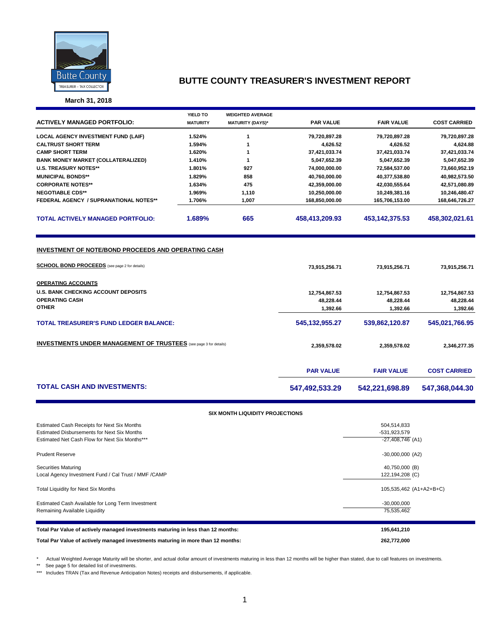

**March 31, 2018**

|                                                                          | <b>YIELD TO</b>  | <b>WEIGHTED AVERAGE</b>         |                           |                           |                           |
|--------------------------------------------------------------------------|------------------|---------------------------------|---------------------------|---------------------------|---------------------------|
| <b>ACTIVELY MANAGED PORTFOLIO:</b>                                       | <b>MATURITY</b>  | <b>MATURITY (DAYS)*</b>         | <b>PAR VALUE</b>          | <b>FAIR VALUE</b>         | <b>COST CARRIED</b>       |
|                                                                          |                  |                                 |                           |                           |                           |
| <b>LOCAL AGENCY INVESTMENT FUND (LAIF)</b><br><b>CALTRUST SHORT TERM</b> | 1.524%<br>1.594% | $\mathbf{1}$<br>$\mathbf{1}$    | 79,720,897.28<br>4,626.52 | 79,720,897.28<br>4,626.52 | 79,720,897.28<br>4,624.88 |
| <b>CAMP SHORT TERM</b>                                                   | 1.620%           | 1                               | 37,421,033.74             | 37,421,033.74             | 37,421,033.74             |
| <b>BANK MONEY MARKET (COLLATERALIZED)</b>                                | 1.410%           | $\mathbf{1}$                    | 5,047,652.39              | 5,047,652.39              | 5,047,652.39              |
| <b>U.S. TREASURY NOTES**</b>                                             | 1.801%           | 927                             | 74,000,000.00             | 72,584,537.00             | 73,660,952.19             |
| <b>MUNICIPAL BONDS**</b>                                                 | 1.829%           | 858                             | 40,760,000.00             | 40,377,538.80             | 40,982,573.50             |
| <b>CORPORATE NOTES**</b>                                                 | 1.634%           | 475                             | 42,359,000.00             | 42,030,555.64             | 42,571,080.89             |
| <b>NEGOTIABLE CDS**</b>                                                  | 1.969%           | 1,110                           | 10,250,000.00             | 10,249,381.16             | 10,246,480.47             |
| <b>FEDERAL AGENCY / SUPRANATIONAL NOTES**</b>                            | 1.706%           | 1,007                           | 168,850,000.00            | 165,706,153.00            | 168,646,726.27            |
| <b>TOTAL ACTIVELY MANAGED PORTFOLIO:</b>                                 | 1.689%           | 665                             | 458,413,209.93            | 453, 142, 375.53          | 458,302,021.61            |
|                                                                          |                  |                                 |                           |                           |                           |
| INVESTMENT OF NOTE/BOND PROCEEDS AND OPERATING CASH                      |                  |                                 |                           |                           |                           |
| <b>SCHOOL BOND PROCEEDS</b> (see page 2 for details)                     |                  |                                 | 73,915,256.71             | 73,915,256.71             | 73,915,256.71             |
| <b>OPERATING ACCOUNTS</b>                                                |                  |                                 |                           |                           |                           |
| <b>U.S. BANK CHECKING ACCOUNT DEPOSITS</b>                               |                  |                                 | 12,754,867.53             | 12,754,867.53             | 12,754,867.53             |
| <b>OPERATING CASH</b>                                                    |                  |                                 | 48,228.44                 | 48,228.44                 | 48,228.44                 |
| <b>OTHER</b>                                                             |                  |                                 | 1,392.66                  | 1,392.66                  | 1,392.66                  |
| <b>TOTAL TREASURER'S FUND LEDGER BALANCE:</b>                            |                  |                                 | 545, 132, 955.27          | 539,862,120.87            | 545,021,766.95            |
| <b>INVESTMENTS UNDER MANAGEMENT OF TRUSTEES</b> (see page 3 for details) |                  |                                 | 2,359,578.02              | 2,359,578.02              | 2,346,277.35              |
|                                                                          |                  |                                 |                           |                           |                           |
|                                                                          |                  |                                 | <b>PAR VALUE</b>          | <b>FAIR VALUE</b>         | <b>COST CARRIED</b>       |
| <b>TOTAL CASH AND INVESTMENTS:</b>                                       |                  |                                 | 547,492,533.29            | 542,221,698.89            | 547,368,044.30            |
|                                                                          |                  | SIX MONTH LIQUIDITY PROJECTIONS |                           |                           |                           |
| Estimated Cash Receipts for Next Six Months                              |                  |                                 |                           | 504,514,833               |                           |
| <b>Estimated Disbursements for Next Six Months</b>                       |                  |                                 |                           | -531,923,579              |                           |
| Estimated Net Cash Flow for Next Six Months***                           |                  |                                 |                           | $-27,408,746$ (A1)        |                           |
| <b>Prudent Reserve</b>                                                   |                  |                                 |                           | $-30,000,000$ (A2)        |                           |

| <b>Securities Maturing</b>                           | 40,750,000 (B) |
|------------------------------------------------------|----------------|
| Local Agency Investment Fund / Cal Trust / MMF /CAMP | 122,194,208 (C |
|                                                      |                |

Total Liquidity for Next Six Months 105,535,462 (A1+A2+B+C)

Estimated Cash Available for Long Term Investment -30,000,000 Remaining Available Liquidity 75,535,462

| Total Par Value of actively managed investments maturing in less than 12 months: | 195.641.210 |
|----------------------------------------------------------------------------------|-------------|
| Total Par Value of actively managed investments maturing in more than 12 months: | 262.772.000 |

\* Actual Weighted Average Maturity will be shorter, and actual dollar amount of investments maturing in less than 12 months will be higher than stated, due to call features on investments.

\*\* See page 5 for detailed list of investments.

\*\*\* Includes TRAN (Tax and Revenue Anticipation Notes) receipts and disbursements, if applicable.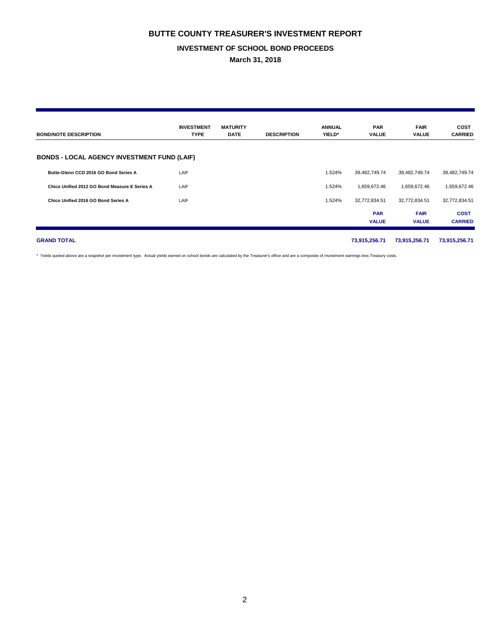### **INVESTMENT OF SCHOOL BOND PROCEEDS**

**March 31, 2018**

| <b>BOND/NOTE DESCRIPTION</b>                       | <b>INVESTMENT</b><br><b>TYPE</b> | <b>MATURITY</b><br><b>DATE</b> | <b>DESCRIPTION</b> | <b>ANNUAL</b><br>YIELD* | <b>PAR</b><br><b>VALUE</b> | <b>FAIR</b><br>VALUE        | <b>COST</b><br><b>CARRIED</b> |
|----------------------------------------------------|----------------------------------|--------------------------------|--------------------|-------------------------|----------------------------|-----------------------------|-------------------------------|
| <b>BONDS - LOCAL AGENCY INVESTMENT FUND (LAIF)</b> |                                  |                                |                    |                         |                            |                             |                               |
| Butte-Glenn CCD 2016 GO Bond Series A              | LAIF                             |                                |                    | 1.524%                  | 39,482,749.74              | 39,482,749.74               | 39,482,749.74                 |
| Chico Unified 2012 GO Bond Measure E Series A      | LAIF                             |                                |                    | 1.524%                  | 1,659,672.46               | 1,659,672.46                | 1,659,672.46                  |
| Chico Unified 2016 GO Bond Series A                | LAIF                             |                                |                    | 1.524%                  | 32,772,834.51              | 32,772,834.51               | 32,772,834.51                 |
|                                                    |                                  |                                |                    |                         | <b>PAR</b><br><b>VALUE</b> | <b>FAIR</b><br><b>VALUE</b> | <b>COST</b><br><b>CARRIED</b> |
| <b>GRAND TOTAL</b>                                 |                                  |                                |                    |                         | 73,915,256.71              | 73,915,256.71               | 73,915,256.71                 |

\* Yields quoted above are a snapshot per investment type. Actual yields earned on school bonds are calculated by the Treasurer's office and are a composite of investment earnings less Treasury costs.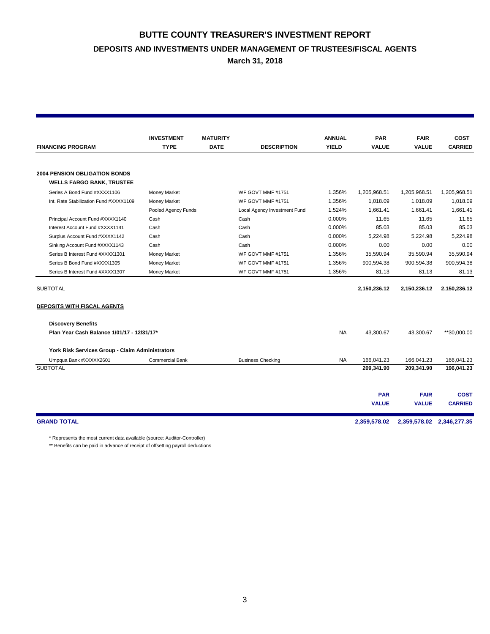# **BUTTE COUNTY TREASURER'S INVESTMENT REPORT DEPOSITS AND INVESTMENTS UNDER MANAGEMENT OF TRUSTEES/FISCAL AGENTS**

**March 31, 2018**

|                                                 | <b>INVESTMENT</b>      | <b>MATURITY</b> |                              | <b>ANNUAL</b> | <b>PAR</b>   | <b>FAIR</b>               | <b>COST</b>    |
|-------------------------------------------------|------------------------|-----------------|------------------------------|---------------|--------------|---------------------------|----------------|
| <b>FINANCING PROGRAM</b>                        | <b>TYPE</b>            | <b>DATE</b>     | <b>DESCRIPTION</b>           | <b>YIELD</b>  | <b>VALUE</b> | <b>VALUE</b>              | <b>CARRIED</b> |
|                                                 |                        |                 |                              |               |              |                           |                |
| <b>2004 PENSION OBLIGATION BONDS</b>            |                        |                 |                              |               |              |                           |                |
| <b>WELLS FARGO BANK, TRUSTEE</b>                |                        |                 |                              |               |              |                           |                |
| Series A Bond Fund #XXXX1106                    | Money Market           |                 | WF GOVT MMF #1751            | 1.356%        | 1,205,968.51 | 1,205,968.51              | 1,205,968.51   |
| Int. Rate Stabilization Fund #XXXX1109          | Money Market           |                 | WF GOVT MMF #1751            | 1.356%        | 1.018.09     | 1.018.09                  | 1.018.09       |
|                                                 | Pooled Agency Funds    |                 | Local Agency Investment Fund | 1.524%        | 1.661.41     | 1.661.41                  | 1.661.41       |
| Principal Account Fund #XXXX1140                | Cash                   |                 | Cash                         | 0.000%        | 11.65        | 11.65                     | 11.65          |
| Interest Account Fund #XXXX1141                 | Cash                   |                 | Cash                         | 0.000%        | 85.03        | 85.03                     | 85.03          |
| Surplus Account Fund #XXXX1142                  | Cash                   |                 | Cash                         | 0.000%        | 5.224.98     | 5.224.98                  | 5.224.98       |
| Sinking Account Fund #XXXX1143                  | Cash                   |                 | Cash                         | 0.000%        | 0.00         | 0.00                      | 0.00           |
| Series B Interest Fund #XXXX1301                | <b>Money Market</b>    |                 | WF GOVT MMF #1751            | 1.356%        | 35,590.94    | 35,590.94                 | 35,590.94      |
| Series B Bond Fund #XXXX1305                    | <b>Money Market</b>    |                 | WF GOVT MMF #1751            | 1.356%        | 900,594.38   | 900,594.38                | 900,594.38     |
| Series B Interest Fund #XXXX1307                | Money Market           |                 | WF GOVT MMF #1751            | 1.356%        | 81.13        | 81.13                     | 81.13          |
| <b>SUBTOTAL</b>                                 |                        |                 |                              |               | 2,150,236.12 | 2,150,236.12              | 2,150,236.12   |
|                                                 |                        |                 |                              |               |              |                           |                |
| <b>DEPOSITS WITH FISCAL AGENTS</b>              |                        |                 |                              |               |              |                           |                |
| <b>Discovery Benefits</b>                       |                        |                 |                              |               |              |                           |                |
| Plan Year Cash Balance 1/01/17 - 12/31/17*      |                        |                 |                              | <b>NA</b>     | 43,300.67    | 43,300.67                 | **30,000.00    |
| York Risk Services Group - Claim Administrators |                        |                 |                              |               |              |                           |                |
| Umpqua Bank #XXXXX2601                          | <b>Commercial Bank</b> |                 | <b>Business Checking</b>     | <b>NA</b>     | 166.041.23   | 166.041.23                | 166.041.23     |
| <b>SUBTOTAL</b>                                 |                        |                 |                              |               | 209,341.90   | 209,341.90                | 196,041.23     |
|                                                 |                        |                 |                              |               |              |                           |                |
|                                                 |                        |                 |                              |               | <b>PAR</b>   | <b>FAIR</b>               | <b>COST</b>    |
|                                                 |                        |                 |                              |               | <b>VALUE</b> | <b>VALUE</b>              | <b>CARRIED</b> |
| <b>GRAND TOTAL</b>                              |                        |                 |                              |               | 2,359,578.02 | 2,359,578.02 2,346,277.35 |                |

\* Represents the most current data available (source: Auditor-Controller)

\*\* Benefits can be paid in advance of receipt of offsetting payroll deductions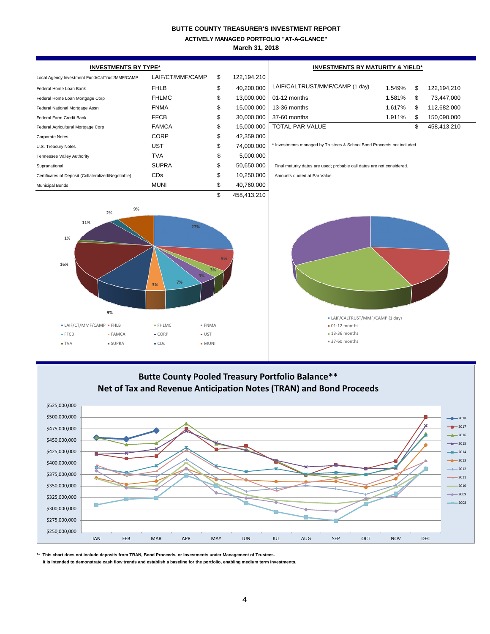**ACTIVELY MANAGED PORTFOLIO "AT-A-GLANCE"**

**March 31, 2018**

| <b>INVESTMENTS BY TYPE*</b>                                     |    |                                                              |                                                                  |                                                         |                                                                                                                                                                                  |                                                                                                                       |
|-----------------------------------------------------------------|----|--------------------------------------------------------------|------------------------------------------------------------------|---------------------------------------------------------|----------------------------------------------------------------------------------------------------------------------------------------------------------------------------------|-----------------------------------------------------------------------------------------------------------------------|
| LAIF/CT/MMF/CAMP                                                | \$ | 122,194,210                                                  |                                                                  |                                                         |                                                                                                                                                                                  |                                                                                                                       |
| <b>FHLB</b>                                                     | \$ | 40,200,000                                                   | LAIF/CALTRUST/MMF/CAMP (1 day)                                   | 1.549%                                                  | \$                                                                                                                                                                               | 122,194,210                                                                                                           |
| <b>FHLMC</b>                                                    | \$ | 13,000,000                                                   | 01-12 months                                                     | 1.581%                                                  | \$                                                                                                                                                                               | 73,447,000                                                                                                            |
| <b>FNMA</b>                                                     | \$ | 15,000,000                                                   | 13-36 months                                                     | 1.617%                                                  | \$                                                                                                                                                                               | 112,682,000                                                                                                           |
| <b>FFCB</b>                                                     | \$ | 30,000,000                                                   | 37-60 months                                                     | 1.911%                                                  | \$                                                                                                                                                                               | 150,090,000                                                                                                           |
| <b>FAMCA</b>                                                    | \$ | 15,000,000                                                   | TOTAL PAR VALUE                                                  |                                                         | \$                                                                                                                                                                               | 458,413,210                                                                                                           |
| CORP                                                            | \$ | 42,359,000                                                   |                                                                  |                                                         |                                                                                                                                                                                  |                                                                                                                       |
| UST                                                             | \$ | 74,000,000                                                   |                                                                  |                                                         |                                                                                                                                                                                  |                                                                                                                       |
| <b>TVA</b>                                                      | \$ | 5,000,000                                                    |                                                                  |                                                         |                                                                                                                                                                                  |                                                                                                                       |
| <b>SUPRA</b>                                                    | \$ | 50,650,000                                                   |                                                                  |                                                         |                                                                                                                                                                                  |                                                                                                                       |
| CDs                                                             | \$ | 10,250,000                                                   | Amounts quoted at Par Value.                                     |                                                         |                                                                                                                                                                                  |                                                                                                                       |
| <b>MUNI</b>                                                     | \$ | 40,760,000                                                   |                                                                  |                                                         |                                                                                                                                                                                  |                                                                                                                       |
| 27%<br>7%<br>3%<br>$-$ FHLMC<br>$\bullet$ CORP<br>$\bullet$ CDs | 9% |                                                              | $-01-12$ months<br>$\blacksquare$ 13-36 months<br>• 37-60 months |                                                         |                                                                                                                                                                                  |                                                                                                                       |
|                                                                 |    |                                                              |                                                                  |                                                         |                                                                                                                                                                                  | 2018<br>$-2017$                                                                                                       |
|                                                                 |    | \$<br>3%<br>$-$ FNMA<br>$\bullet$ UST<br>$\blacksquare$ MUNI | 458,413,210                                                      | <b>Butte County Pooled Treasury Portfolio Balance**</b> | Final maturity dates are used; probable call dates are not considered.<br>• LAIF/CALTRUST/MMF/CAMP (1 day)<br>Net of Tax and Revenue Anticipation Notes (TRAN) and Bond Proceeds | <b>INVESTMENTS BY MATURITY &amp; YIELD*</b><br>* Investments managed by Trustees & School Bond Proceeds not included. |

**\*\* This chart does not include deposits from TRAN, Bond Proceeds, or Investments under Management of Trustees.**

\$250,000,000 \$275,000,000 \$300,000,000

п

 **It is intended to demonstrate cash flow trends and establish a baseline for the portfolio, enabling medium term investments.**

JAN FEB MAR APR MAY JUN JUL AUG SEP OCT NOV DEC

2008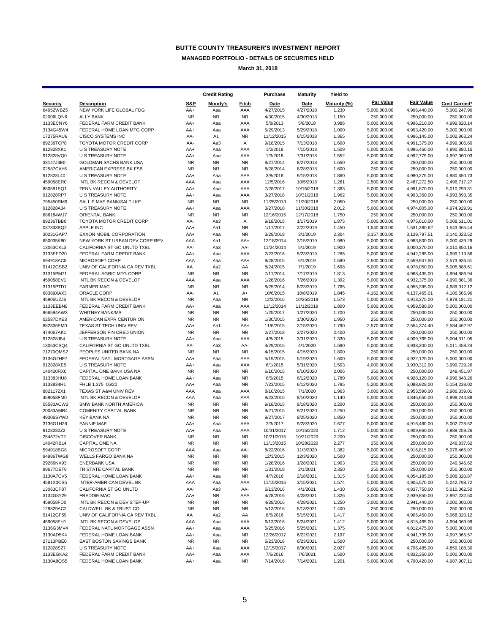**MANAGED PORTFOLIO - DETAILS OF SECURITIES HELD**

**March 31, 2018**

|                        |                                                          |                  | <b>Credit Rating</b> |                  | Purchase               | <b>Maturity</b>        | Yield to       |                              |                              |                              |
|------------------------|----------------------------------------------------------|------------------|----------------------|------------------|------------------------|------------------------|----------------|------------------------------|------------------------------|------------------------------|
| <b>Security</b>        | <b>Description</b>                                       | S&P              | Moody's              | Fitch            | Date                   | Date                   | Maturity (%)   | <b>Par Value</b>             | <b>Fair Value</b>            | <b>Cost Carried*</b>         |
| 64952WBZ5              | NEW YORK LIFE GLOBAL FDG                                 | AA+              | Aaa                  | AAA              | 4/27/2015              | 4/27/2018              | 1.230          | 5,000,000.00                 | 4,996,440.00                 | 5,000,247.96                 |
| 02006LQN6              | <b>ALLY BANK</b>                                         | <b>NR</b>        | <b>NR</b>            | <b>NR</b>        | 4/30/2015              | 4/30/2018              | 1.150          | 250,000.00                   | 250,000.00                   | 250,000.00                   |
| 3133ECNY6              | FEDERAL FARM CREDIT BANK                                 | AA+              | Aaa                  | AAA              | 5/8/2013               | 5/8/2018               | 0.986          | 5,000,000.00                 | 4,996,210.00                 | 4,999,820.14                 |
| 3134G45W4              | FEDERAL HOME LOAN MTG CORP                               | AA+              | Aaa                  | AAA              | 5/29/2013              | 5/29/2018              | 1.000          | 5,000,000.00                 | 4,993,420.00                 | 5,000,000.00                 |
| 17275RAU6              | <b>CISCO SYSTEMS INC</b>                                 | AA-              | A1                   | <b>NR</b>        | 11/12/2015             | 6/15/2018              | 1.365          | 5,000,000.00                 | 4,996,145.00                 | 5,002,863.24                 |
| 89236TCP8              | TOYOTA MOTOR CREDIT CORP                                 | AA-              | Aa3                  | Α                | 9/18/2015              | 7/13/2018              | 1.600          | 5,000,000.00                 | 4,991,375.00                 | 4,999,306.60                 |
| 912828XK1              | U S TREASURY NOTE                                        | AA+              | Aaa                  | AAA              | 1/2/2018               | 7/15/2018              | 1.509          | 5,000,000.00                 | 4,986,450.00                 | 4,990,880.15                 |
| 912828VQ0<br>38147J3E0 | U S TREASURY NOTE<br>GOLDMAN SACHS BANK USA              | AA+<br><b>NR</b> | Aaa<br><b>NR</b>     | AAA<br><b>NR</b> | 1/3/2018               | 7/31/2018              | 1.552          | 5,000,000.00                 | 4,992,775.00                 | 4,997,060.03<br>250,000.00   |
| 02587CAY6              | AMERICAN EXPRESS BK FSB                                  | <b>NR</b>        | <b>NR</b>            | <b>NR</b>        | 8/27/2014<br>8/28/2014 | 8/27/2018<br>8/28/2018 | 1.650<br>1.600 | 250,000.00<br>250,000.00     | 250,000.00<br>250,000.00     | 250,000.00                   |
| 912828L40              | U S TREASURY NOTE                                        | AA+              | Aaa                  | AAA              | 3/8/2018               | 9/15/2018              | 1.860          | 5,000,000.00                 | 4,980,275.00                 | 4,980,650.73                 |
| 459058ER0              | INTL BK RECON & DEVELOP                                  | AAA              | Aaa                  | AAA              | 12/5/2016              | 10/5/2018              | 1.261          | 2,500,000.00                 | 2,487,272.50                 | 2,496,717.27                 |
| 880591EQ1              | TENN VALLEY AUTHORITY                                    | AA+              | Aaa                  | AAA              | 7/28/2017              | 10/15/2018             | 1.363          | 5,000,000.00                 | 4,991,670.00                 | 5,010,299.31                 |
| 912828RP7              | <b>U S TREASURY NOTE</b>                                 | AA+              | Aaa                  | AAA              | 3/27/2018              | 10/31/2018             | 1.962          | 5,000,000.00                 | 4,993,360.00                 | 4,993,893.35                 |
| 795450RM9              | SALLIE MAE BANK/SALT LKE                                 | <b>NR</b>        | <b>NR</b>            | <b>NR</b>        | 11/25/2013             | 11/20/2018             | 2.050          | 250,000.00                   | 250,000.00                   | 250,000.00                   |
| 912828A34              | U S TREASURY NOTE                                        | AA+              | Aaa                  | AAA              | 3/27/2018              | 11/30/2018             | 2.012          | 5,000,000.00                 | 4,974,805.00                 | 4,974,929.91                 |
| 686184WJ7              | <b>ORIENTAL BANK</b>                                     | <b>NR</b>        | <b>NR</b>            | <b>NR</b>        | 12/16/2015             | 12/17/2018             | 1.750          | 250,000.00                   | 250,000.00                   | 250,000.00                   |
| 89236TBB0              | TOYOTA MOTOR CREDIT CORP                                 | AA-              | Aa3                  | Α                | 9/18/2015              | 1/17/2019              | 1.875          | 5,000,000.00                 | 4,975,610.00                 | 5,008,611.01                 |
| 037833BQ2              | <b>APPLE INC</b>                                         | AA+              | Aa1                  | <b>NR</b>        | 1/17/2017              | 2/22/2019              | 1.450          | 1,540,000.00                 | 1,531,380.62                 | 1,543,365.44                 |
| 30231GAP7              | EXXON MOBIL CORPORATION                                  | AA+              | Aaa                  | <b>NR</b>        | 3/29/2018              | 3/1/2019               | 2.304          | 3,157,000.00                 | 3,139,797.51                 | 3,140,023.52                 |
| 650035K80              | NEW YORK ST URBAN DEV CORP REV                           | AAA              | Aa1                  | AA+              | 12/18/2014             | 3/15/2019              | 1.980          | 5,000,000.00                 | 4,983,800.00                 | 5,000,439.29                 |
| 13063CKL3              | CALIFORNIA ST GO UNLTD TXBL                              | AA-              | Aa3                  | AA-              | 11/24/2014             | 5/1/2019               | 1.900          | 3,000,000.00                 | 3,000,270.00                 | 3,010,850.16                 |
| 3133EFD20              | FEDERAL FARM CREDIT BANK                                 | AA+              | Aaa                  | AAA              | 2/23/2016              | 5/23/2019              | 1.266          | 5,000,000.00                 | 4,942,285.00                 | 4,999,119.66                 |
| 594918AC8              | MICROSOFT CORP                                           | AAA              | Aaa                  | AA+              | 9/28/2015              | 6/1/2019               | 1.580          | 2,500,000.00                 | 2,559,947.50                 | 2,573,936.51                 |
| 91412GSB2              | UNIV OF CALIFORNIA CA REV TXBL                           | AA               | Aa2                  | AA               | 8/24/2015              | 7/1/2019               | 1.698          | 5,000,000.00                 | 4,978,050.00                 | 5,005,888.61                 |
| 31315PM71<br>459058EV1 | FEDERAL AGRIC MTG CORP<br>INTL BK RECON & DEVELOP        | <b>NR</b><br>AAA | <b>NR</b>            | <b>NR</b><br>AAA | 7/17/2014<br>1/28/2016 | 7/17/2019              | 1.813          | 5,000,000.00                 | 4,968,435.00                 | 4,994,886.94                 |
| 31315PTD1              | <b>FARMER MAC</b>                                        | NR.              | Aaa<br><b>NR</b>     | <b>NR</b>        | 8/25/2014              | 7/26/2019<br>8/23/2019 | 1.392<br>1.765 | 5,000,000.00<br>5,000,000.00 | 4,932,375.00<br>4,955,395.00 | 4,990,881.36<br>4,989,012.12 |
| 68389XAX3              | ORACLE CORP                                              | AA-              | A1                   | A+               | 10/6/2015              | 10/8/2019              | 1.845          | 4,162,000.00                 | 4,137,465.01                 | 4,186,565.96                 |
| 45905UZJ6              | INTL BK RECON & DEVELOP                                  | <b>NR</b>        | Aaa                  | <b>NR</b>        | 12/2/2016              | 10/25/2019             | 1.573          | 5,000,000.00                 | 4,913,375.00                 | 4,979,181.21                 |
| 3133EEBN9              | FEDERAL FARM CREDIT BANK                                 | AA+              | Aaa                  | AAA              | 11/12/2014             | 11/12/2019             | 1.800          | 5,000,000.00                 | 4,959,580.00                 | 5,000,000.00                 |
| 966594AW3              | <b>WHITNEY BANK/MS</b>                                   | <b>NR</b>        | <b>NR</b>            | <b>NR</b>        | 1/25/2017              | 1/27/2020              | 1.700          | 250,000.00                   | 250,000.00                   | 250,000.00                   |
| 02587DXE3              | AMERICAN EXPR CENTURION                                  | <b>NR</b>        | <b>NR</b>            | <b>NR</b>        | 1/30/2015              | 1/30/2020              | 1.950          | 250,000.00                   | 250,000.00                   | 250,000.00                   |
| 882806EM0              | TEXAS ST TECH UNIV REV                                   | AA+              | Aa1                  | AA+              | 11/6/2015              | 2/15/2020              | 1.790          | 2,570,000.00                 | 2,554,374.40                 | 2,584,462.97                 |
| 474067AK1              | JEFFERSON FIN CRED UNION                                 | <b>NR</b>        | <b>NR</b>            | <b>NR</b>        | 2/27/2018              | 2/27/2020              | 2.400          | 250,000.00                   | 250,000.00                   | 250,000.00                   |
| 912828J84              | U S TREASURY NOTE                                        | AA+              | Aaa                  | AAA              | 4/8/2015               | 3/31/2020              | 1.330          | 5,000,000.00                 | 4,909,765.00                 | 5,004,311.05                 |
| 13063CSQ4              | CALIFORNIA ST GO UNLTD TXBL                              | AA-              | АаЗ                  | AA-              | 4/29/2015              | 4/1/2020               | 1.680          | 5,000,000.00                 | 4,938,200.00                 | 5,011,458.24                 |
| 71270QMS2              | PEOPLES UNITED BANK NA                                   | <b>NR</b>        | <b>NR</b>            | <b>NR</b>        | 4/15/2015              | 4/15/2020              | 1.800          | 250,000.00                   | 250,000.00                   | 250,000.00                   |
| 3136G2HF7              | FEDERAL NATL MORTGAGE ASSN                               | AA+              | Aaa                  | AAA              | 5/19/2015              | 5/19/2020              | 1.600          | 5,000,000.00                 | 4,922,125.00                 | 5,000,000.00                 |
| 912828XE5              | U S TREASURY NOTE                                        | AA+              | Aaa                  | AAA              | 6/1/2015               | 5/31/2020              | 1.503          | 4,000,000.00                 | 3,930,312.00                 | 3,999,729.26                 |
| 140420RX0              | CAPITAL ONE BANK USA NA                                  | <b>NR</b>        | <b>NR</b>            | <b>NR</b>        | 6/10/2015              | 6/10/2020              | 2.006          | 250,000.00                   | 250,000.00                   | 249,451.97                   |
| 313383HU8              | FEDERAL HOME LOAN BANK                                   | AA+              | Aaa                  | <b>NR</b>        | 6/5/2015               | 6/12/2020              | 1.780          | 5,000,000.00                 | 4,928,120.00                 | 4,996,848.26                 |
| 3133834H1              | FHLB 1.375 06/20                                         | AA+              | Aaa                  | <b>NR</b>        | 7/23/2015              | 6/12/2020              | 1.795          | 5,200,000.00                 | 5,088,928.00                 | 5,154,238.02                 |
| 8821172X1<br>459058FM0 | TEXAS ST A&M UNIV REV<br>INTL BK RECON & DEVELOP         | AAA<br>AAA       | Aaa<br>Aaa           | AAA<br>AAA       | 8/10/2015<br>8/23/2016 | 7/1/2020<br>8/10/2020  | 1.963<br>1.140 | 3,000,000.00<br>5,000,000.00 | 2,953,590.00<br>4,846,650.00 | 2,986,339.01<br>4,998,244.88 |
| 05580ACW2              | BMW BANK NORTH AMERICA                                   | <b>NR</b>        | <b>NR</b>            | <b>NR</b>        | 9/18/2015              | 9/18/2020              | 2.200          | 250,000.00                   | 250,000.00                   | 250,000.00                   |
| 20033AMR4              | COMENITY CAPITAL BANK                                    | <b>NR</b>        | <b>NR</b>            | <b>NR</b>        | 9/21/2015              | 9/21/2020              | 2.250          | 250,000.00                   | 250,000.00                   | 250,000.00                   |
| 49306SYW0              | <b>KEY BANK NA</b>                                       | <b>NR</b>        | <b>NR</b>            | <b>NR</b>        | 9/27/2017              | 9/25/2020              | 1.850          | 250,000.00                   | 250,000.00                   | 250,000.00                   |
| 3136G1H28              | <b>FANNIE MAE</b>                                        | AA+              | Aaa                  | AAA              | 2/3/2017               | 9/28/2020              | 1.677          | 5,000,000.00                 | 4,916,460.00                 | 5,002,728.52                 |
| 9128282Z2              | <b>U S TREASURY NOTE</b>                                 | AA+              | Aaa                  | AAA              | 10/31/2017             | 10/15/2020             | 1.712          | 5,000,000.00                 | 4,909,960.00                 | 4,989,259.26                 |
| 254672VT2              | <b>DISCOVER BANK</b>                                     | <b>NR</b>        | <b>NR</b>            | <b>NR</b>        | 10/21/2015             | 10/21/2020             | 2.200          | 250,000.00                   | 250,000.00                   | 250,000.00                   |
| 14042RBL4              | <b>CAPITAL ONE NA</b>                                    | <b>NR</b>        | <b>NR</b>            | <b>NR</b>        | 11/13/2015             | 10/28/2020             | 2.277          | 250,000.00                   | 250,000.00                   | 249,837.62                   |
| 594918BG8              | MICROSOFT CORP                                           | AAA              | Aaa                  | AA+              | 8/22/2016              | 11/3/2020              | 1.382          | 5,000,000.00                 | 4,916,815.00                 | 5,076,465.97                 |
| 94986TWG8              | WELLS FARGO BANK NA                                      | <b>NR</b>        | <b>NR</b>            | <b>NR</b>        | 12/3/2015              | 12/3/2020              | 1.500          | 250,000.00                   | 250,000.00                   | 250,000.00                   |
| 29266NX93              | <b>ENERBANK USA</b>                                      | <b>NR</b>        | <b>NR</b>            | <b>NR</b>        | 1/28/2016              | 1/28/2021              | 1.903          | 250,000.00                   | 250,000.00                   | 249,646.62                   |
| 89677DET9              | TRISTATE CAPITAL BANK                                    | <b>NR</b>        | <b>NR</b>            | <b>NR</b>        | 1/31/2018              | 2/1/2021               | 2.350          | 250,000.00                   | 250,000.00                   | 250,000.00                   |
| 3130A7CV5              | FEDERAL HOME LOAN BANK                                   | AA+              | Aaa                  | <b>NR</b>        | 4/7/2016               | 2/18/2021              | 1.315          | 5,000,000.00                 | 4,854,185.00                 | 5,008,320.87                 |
| 4581X0CS5              | INTER-AMERICAN DEVEL BK                                  | AAA              | Aaa                  | AAA              | 11/15/2016             | 3/15/2021              | 1.574          | 5,000,000.00                 | 4,905,570.00                 | 5,042,798.72                 |
| 13063CP87              | CALIFORNIA ST GO UNLTD                                   | AA-              | Aa3                  | AA-              | 6/13/2016              | 4/1/2021               | 1.430          | 5,000,000.00                 | 4,837,750.00                 | 5,010,062.50                 |
| 3134G8Y29              | <b>FREDDIE MAC</b>                                       | AA+              | <b>NR</b>            | AAA              | 4/28/2016              | 4/28/2021              | 1.326          | 3,000,000.00<br>3,000,000.00 | 2,939,850.00                 | 2,997,232.50                 |
| 459058FD0<br>128829AC2 | INTL BK RECON & DEV STEP-UP                              | <b>NR</b>        | <b>NR</b>            | <b>NR</b>        | 4/28/2016              | 4/28/2021<br>5/13/2021 | 1.250          |                              | 2,941,440.00<br>250,000.00   | 3,000,000.00                 |
| 91412GF59              | CALDWELL BK & TRUST CO<br>UNIV OF CALIFORNIA CA REV TXBL | <b>NR</b><br>AA  | <b>NR</b><br>Aa2     | <b>NR</b><br>AA  | 5/13/2016<br>8/5/2016  | 5/15/2021              | 1.400<br>1.417 | 250,000.00<br>5,000,000.00   | 4,905,450.00                 | 250,000.00<br>5,068,320.12   |
| 459058FH1              | INTL BK RECON & DEVELOP                                  | AAA              | Aaa                  | AAA              | 6/13/2016              | 5/24/2021              | 1.412          | 5,000,000.00                 | 4,815,465.00                 | 4,994,369.99                 |
| 3136G3MV4              | FEDERAL NATL MORTGAGE ASSN                               | AA+              | Aaa                  | AAA              | 5/25/2016              | 5/25/2021              | 1.375          | 5,000,000.00                 | 4,812,475.00                 | 5,000,000.00                 |
| 3130AD5K4              | FEDERAL HOME LOAN BANK                                   | AA+              | Aaa                  | <b>NR</b>        | 12/26/2017             | 6/22/2021              | 2.197          | 5,000,000.00                 | 4,941,735.00                 | 4,997,365.57                 |
| 27113PBE0              | EAST BOSTON SAVINGS BANK                                 | <b>NR</b>        | <b>NR</b>            | <b>NR</b>        | 6/23/2016              | 6/23/2021              | 1.500          | 250,000.00                   | 250,000.00                   | 250,000.00                   |
| 912828S27              | U S TREASURY NOTE                                        | AA+              | Aaa                  | AAA              | 12/15/2017             | 6/30/2021              | 2.027          | 5,000,000.00                 | 4,796,485.00                 | 4,859,188.30                 |
| 3133EGKA2              | FEDERAL FARM CREDIT BANK                                 | AA+              | Aaa                  | AAA              | 7/6/2016               | 7/6/2021               | 1.500          | 5,000,000.00                 | 4,832,350.00                 | 5,000,000.00                 |
| 3130A8QS5              | FEDERAL HOME LOAN BANK                                   | AA+              | Aaa                  | <b>NR</b>        | 7/14/2016              | 7/14/2021              | 1.201          | 5,000,000.00                 | 4,790,420.00                 | 4,987,907.11                 |